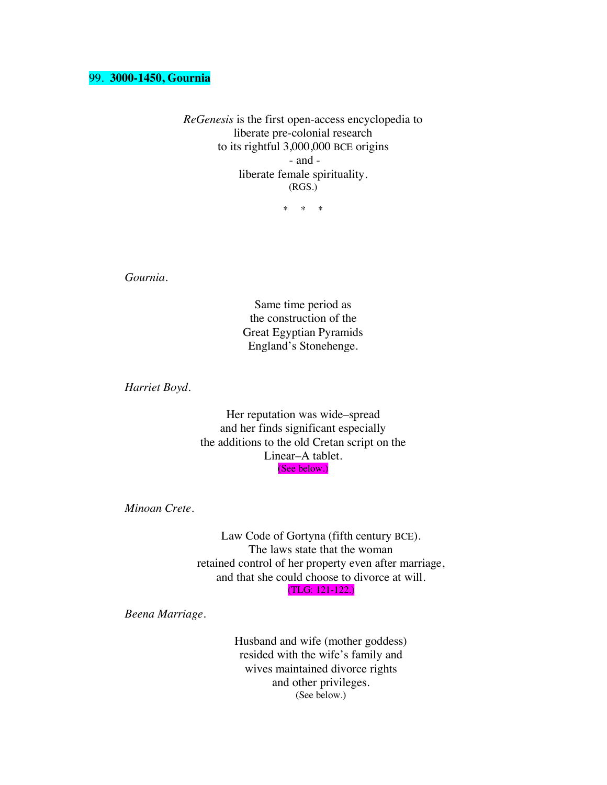#### 99. **3000-1450, Gournia**

*ReGenesis* is the first open-access encyclopedia to liberate pre-colonial research to its rightful 3,000,000 BCE origins - and liberate female spirituality. (RGS.)

\* \* \*

*Gournia.*

Same time period as the construction of the Great Egyptian Pyramids England's Stonehenge.

*Harriet Boyd.* 

Her reputation was wide–spread and her finds significant especially the additions to the old Cretan script on the Linear–A tablet. (See below.)

*Minoan Crete.*

Law Code of Gortyna (fifth century BCE). The laws state that the woman retained control of her property even after marriage, and that she could choose to divorce at will. (TLG: 121-122.)

*Beena Marriage.*

Husband and wife (mother goddess) resided with the wife's family and wives maintained divorce rights and other privileges. (See below.)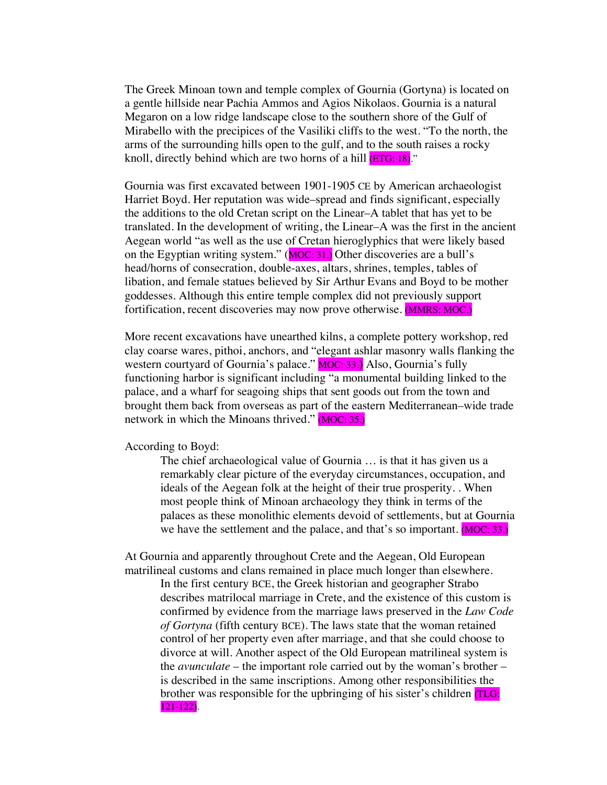The Greek Minoan town and temple complex of Gournia (Gortyna) is located on a gentle hillside near Pachia Ammos and Agios Nikolaos. Gournia is a natural Megaron on a low ridge landscape close to the southern shore of the Gulf of Mirabello with the precipices of the Vasiliki cliffs to the west. "To the north, the arms of the surrounding hills open to the gulf, and to the south raises a rocky knoll, directly behind which are two horns of a hill **(ETG: 18)**."

Gournia was first excavated between 1901-1905 CE by American archaeologist Harriet Boyd. Her reputation was wide–spread and finds significant, especially the additions to the old Cretan script on the Linear–A tablet that has yet to be translated. In the development of writing, the Linear–A was the first in the ancient Aegean world "as well as the use of Cretan hieroglyphics that were likely based on the Egyptian writing system."  $(MOC: 31.)$  Other discoveries are a bull's head/horns of consecration, double-axes, altars, shrines, temples, tables of libation, and female statues believed by Sir Arthur Evans and Boyd to be mother goddesses. Although this entire temple complex did not previously support fortification, recent discoveries may now prove otherwise. (MMRS; MOC.)

More recent excavations have unearthed kilns, a complete pottery workshop, red clay coarse wares, pithoi, anchors, and "elegant ashlar masonry walls flanking the western courtyard of Gournia's palace." MOC: 33.) Also, Gournia's fully functioning harbor is significant including "a monumental building linked to the palace, and a wharf for seagoing ships that sent goods out from the town and brought them back from overseas as part of the eastern Mediterranean–wide trade network in which the Minoans thrived." (MOC: 35.)

According to Boyd:

The chief archaeological value of Gournia … is that it has given us a remarkably clear picture of the everyday circumstances, occupation, and ideals of the Aegean folk at the height of their true prosperity. . When most people think of Minoan archaeology they think in terms of the palaces as these monolithic elements devoid of settlements, but at Gournia we have the settlement and the palace, and that's so important. (MOC: 33.)

At Gournia and apparently throughout Crete and the Aegean, Old European matrilineal customs and clans remained in place much longer than elsewhere.

In the first century BCE, the Greek historian and geographer Strabo describes matrilocal marriage in Crete, and the existence of this custom is confirmed by evidence from the marriage laws preserved in the *Law Code of Gortyna* (fifth century BCE). The laws state that the woman retained control of her property even after marriage, and that she could choose to divorce at will. Another aspect of the Old European matrilineal system is the *avunculate* – the important role carried out by the woman's brother – is described in the same inscriptions. Among other responsibilities the brother was responsible for the upbringing of his sister's children (TLG:  $\overline{121-122}$ .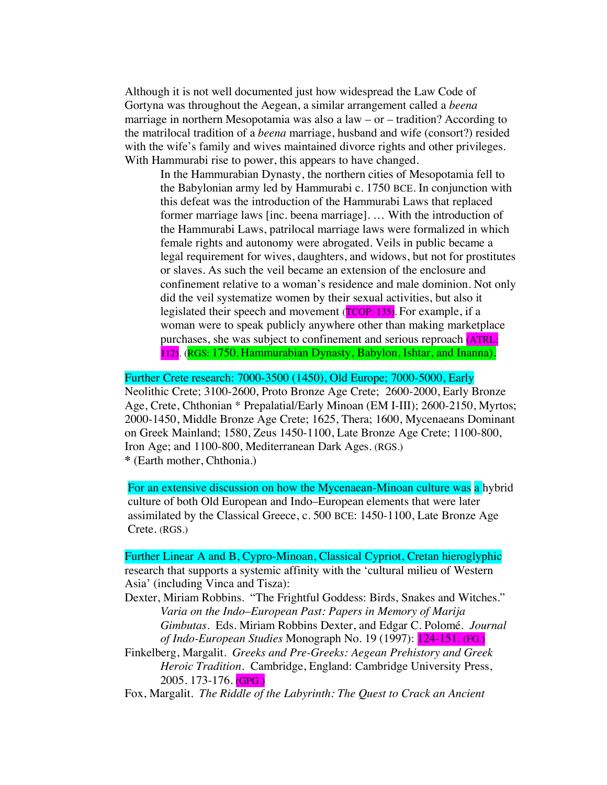Although it is not well documented just how widespread the Law Code of Gortyna was throughout the Aegean, a similar arrangement called a *beena* marriage in northern Mesopotamia was also a law – or – tradition? According to the matrilocal tradition of a *beena* marriage, husband and wife (consort?) resided with the wife's family and wives maintained divorce rights and other privileges. With Hammurabi rise to power, this appears to have changed.

In the Hammurabian Dynasty, the northern cities of Mesopotamia fell to the Babylonian army led by Hammurabi c. 1750 BCE. In conjunction with this defeat was the introduction of the Hammurabi Laws that replaced former marriage laws [inc. beena marriage]. … With the introduction of the Hammurabi Laws, patrilocal marriage laws were formalized in which female rights and autonomy were abrogated. Veils in public became a legal requirement for wives, daughters, and widows, but not for prostitutes or slaves. As such the veil became an extension of the enclosure and confinement relative to a woman's residence and male dominion. Not only did the veil systematize women by their sexual activities, but also it legislated their speech and movement (TCOP: 135). For example, if a woman were to speak publicly anywhere other than making marketplace purchases, she was subject to confinement and serious reproach (ATRL: 112). (RGS: 1750, Hammurabian Dynasty, Babylon, Ishtar, and Inanna).

# Further Crete research: 7000-3500 (1450), Old Europe; 7000-5000, Early

Neolithic Crete; 3100-2600, Proto Bronze Age Crete; 2600-2000, Early Bronze Age, Crete, Chthonian \* Prepalatial/Early Minoan (EM I-III); 2600-2150, Myrtos; 2000-1450, Middle Bronze Age Crete; 1625, Thera; 1600, Mycenaeans Dominant on Greek Mainland; 1580, Zeus 1450-1100, Late Bronze Age Crete; 1100-800, Iron Age; and 1100-800, Mediterranean Dark Ages. (RGS.) **\*** (Earth mother, Chthonia.)

For an extensive discussion on how the Mycenaean-Minoan culture was a hybrid culture of both Old European and Indo–European elements that were later assimilated by the Classical Greece, c. 500 BCE: 1450-1100, Late Bronze Age Crete. (RGS.)

Further Linear A and B, Cypro-Minoan, Classical Cypriot, Cretan hieroglyphic research that supports a systemic affinity with the 'cultural milieu of Western Asia' (including Vinca and Tisza):

- Dexter, Miriam Robbins. "The Frightful Goddess: Birds, Snakes and Witches." *Varia on the Indo*–*European Past: Papers in Memory of Marija Gimbutas*. Eds. Miriam Robbins Dexter, and Edgar C. Polomé. *Journal of Indo-European Studies* Monograph No. 19 (1997): 124-151. (FG.)
- Finkelberg, Margalit. *Greeks and Pre-Greeks: Aegean Prehistory and Greek Heroic Tradition.* Cambridge, England: Cambridge University Press, 2005. 173-176. (GPG.)

Fox, Margalit. *The Riddle of the Labyrinth: The Quest to Crack an Ancient*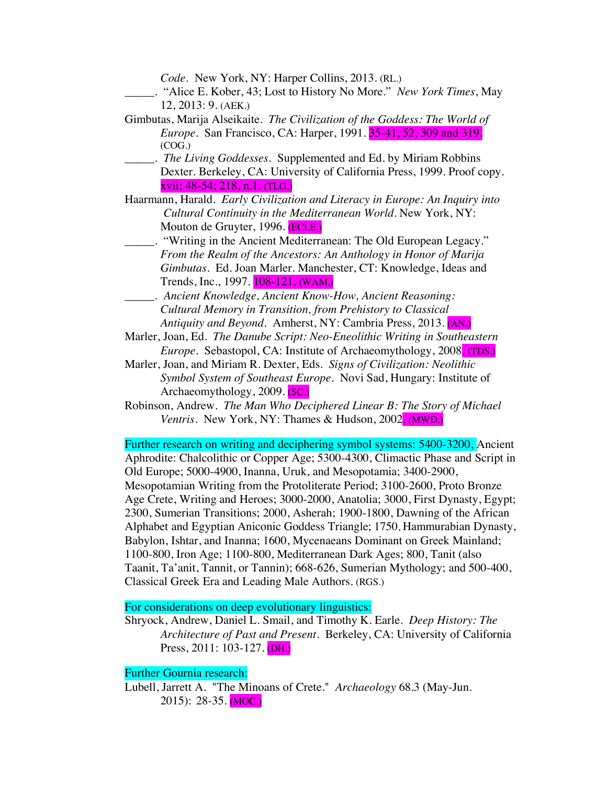*Code.* New York, NY: Harper Collins, 2013. (RL.)

- \_\_\_\_\_. "Alice E. Kober, 43; Lost to History No More." *New York Times*, May 12, 2013: 9. (AEK.)
- Gimbutas, Marija Alseikaite. *The Civilization of the Goddess: The World of Europe*. San Francisco, CA: Harper, 1991. 35-41, 52, 309 and 319. (COG.)
- \_\_\_\_\_. *The Living Goddesses.* Supplemented and Ed. by Miriam Robbins Dexter. Berkeley, CA: University of California Press, 1999. Proof copy. xvii; 48-54; 218, n.1. (TLG.)
- Haarmann, Harald. *Early Civilization and Literacy in Europe: An Inquiry into Cultural Continuity in the Mediterranean World.* New York, NY: Mouton de Gruyter, 1996. (ECLE.)
	- \_\_\_\_\_. "Writing in the Ancient Mediterranean: The Old European Legacy." *From the Realm of the Ancestors: An Anthology in Honor of Marija Gimbutas*. Ed. Joan Marler. Manchester, CT: Knowledge, Ideas and Trends, Inc., 1997. **108-121.** (WAM.)
- \_\_\_\_\_. *Ancient Knowledge, Ancient Know-How, Ancient Reasoning: Cultural Memory in Transition, from Prehistory to Classical Antiquity and Beyond*. Amherst, NY: Cambria Press, 2013. (AN.)
- Marler, Joan, Ed. *The Danube Script: Neo-Eneolithic Writing in Southeastern Europe*. Sebastopol, CA: Institute of Archaeomythology, 2008. (TDS.)
- Marler, Joan, and Miriam R. Dexter, Eds. *Signs of Civilization: Neolithic Symbol System of Southeast Europe*. Novi Sad, Hungary: Institute of Archaeomythology, 2009. (SC.)
- Robinson, Andrew. *The Man Who Deciphered Linear B: The Story of Michael Ventris*. New York, NY: Thames & Hudson, 2002. (MWD.)

Further research on writing and deciphering symbol systems: 5400-3200, Ancient Aphrodite: Chalcolithic or Copper Age; 5300-4300, Climactic Phase and Script in Old Europe; 5000-4900, Inanna, Uruk, and Mesopotamia; 3400-2900, Mesopotamian Writing from the Protoliterate Period; 3100-2600, Proto Bronze Age Crete, Writing and Heroes; 3000-2000, Anatolia; 3000, First Dynasty, Egypt; 2300, Sumerian Transitions; 2000, Asherah; 1900-1800, Dawning of the African Alphabet and Egyptian Aniconic Goddess Triangle; 1750, Hammurabian Dynasty, Babylon, Ishtar, and Inanna; 1600, Mycenaeans Dominant on Greek Mainland; 1100-800, Iron Age; 1100-800, Mediterranean Dark Ages; 800, Tanit (also Taanit, Ta'anit, Tannit, or Tannin); 668-626, Sumerian Mythology; and 500-400, Classical Greek Era and Leading Male Authors. (RGS.)

# For considerations on deep evolutionary linguistics:

Shryock, Andrew, Daniel L. Smail, and Timothy K. Earle. *Deep History: The Architecture of Past and Present*. Berkeley, CA: University of California Press, 2011: 103-127. (DH.)

#### Further Gournia research:

Lubell, Jarrett A. "The Minoans of Crete." *Archaeology* 68.3 (May-Jun. 2015): 28-35. (MOC.)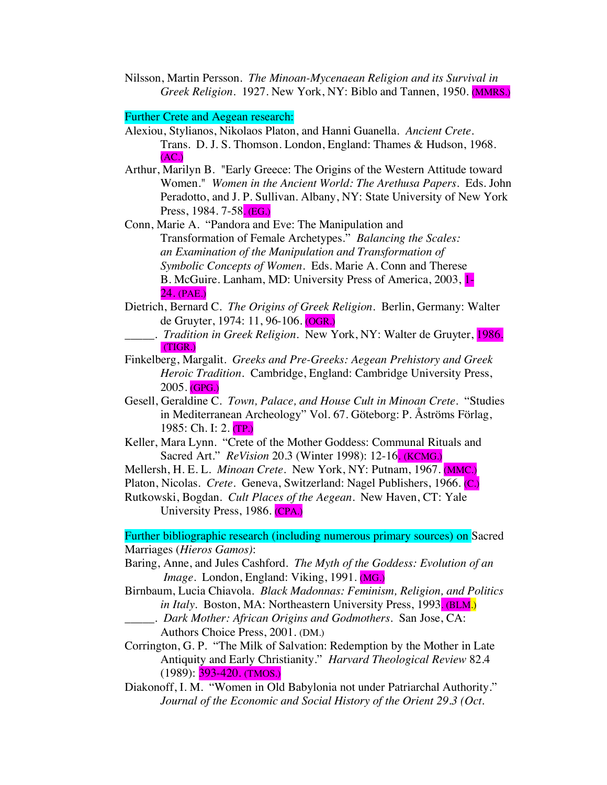Nilsson, Martin Persson*. The Minoan-Mycenaean Religion and its Survival in Greek Religion.* 1927. New York, NY: Biblo and Tannen, 1950. (MMRS.)

### Further Crete and Aegean research:

- Alexiou, Stylianos, Nikolaos Platon, and Hanni Guanella. *Ancient Crete*. Trans. D. J. S. Thomson. London, England: Thames & Hudson, 1968. (AC.)
- Arthur, Marilyn B. "Early Greece: The Origins of the Western Attitude toward Women." *Women in the Ancient World: The Arethusa Papers*. Eds. John Peradotto, and J. P. Sullivan. Albany, NY: State University of New York Press, 1984. 7-58. (EG.)

Conn, Marie A. "Pandora and Eve: The Manipulation and Transformation of Female Archetypes." *Balancing the Scales: an Examination of the Manipulation and Transformation of Symbolic Concepts of Women*. Eds. Marie A. Conn and Therese B. McGuire*.* Lanham, MD: University Press of America, 2003, 1- 24. (PAE.)

- Dietrich, Bernard C. *The Origins of Greek Religion.* Berlin, Germany: Walter de Gruyter, 1974: 11, 96-106. (OGR.)
	- \_\_\_\_\_. *Tradition in Greek Religion*. New York, NY: Walter de Gruyter, 1986. (TIGR.)
- Finkelberg, Margalit. *Greeks and Pre-Greeks: Aegean Prehistory and Greek Heroic Tradition.* Cambridge, England: Cambridge University Press, 2005. (GPG.)
- Gesell, Geraldine C. *Town, Palace, and House Cult in Minoan Crete*. "Studies in Mediterranean Archeology" Vol. 67. Göteborg: P. Åströms Förlag, 1985: Ch. I: 2. (TP.)
- Keller, Mara Lynn. "Crete of the Mother Goddess: Communal Rituals and Sacred Art." *ReVision* 20.3 (Winter 1998): 12-16. (KCMG.)

Mellersh, H. E. L. *Minoan Crete*. New York, NY: Putnam, 1967. (MMC.)

Platon, Nicolas. *Crete*. Geneva, Switzerland: Nagel Publishers, 1966. (C.)

Rutkowski, Bogdan. *Cult Places of the Aegean*. New Haven, CT: Yale University Press, 1986. (CPA.)

Further bibliographic research (including numerous primary sources) on Sacred Marriages (*Hieros Gamos)*:

Baring, Anne, and Jules Cashford. *The Myth of the Goddess: Evolution of an Image.* London, England: Viking, 1991. (MG.)

- Birnbaum, Lucia Chiavola. *Black Madonnas: Feminism, Religion, and Politics in Italy.* Boston, MA: Northeastern University Press, 1993. (BLM.)
- \_\_\_\_\_. *Dark Mother: African Origins and Godmothers*. San Jose, CA: Authors Choice Press, 2001. (DM.)

Corrington, G. P. "The Milk of Salvation: Redemption by the Mother in Late Antiquity and Early Christianity." *Harvard Theological Review* 82.4 (1989): 393-420. (TMOS.)

Diakonoff, I. M. "Women in Old Babylonia not under Patriarchal Authority." *Journal of the Economic and Social History of the Orient 29.3 (Oct.*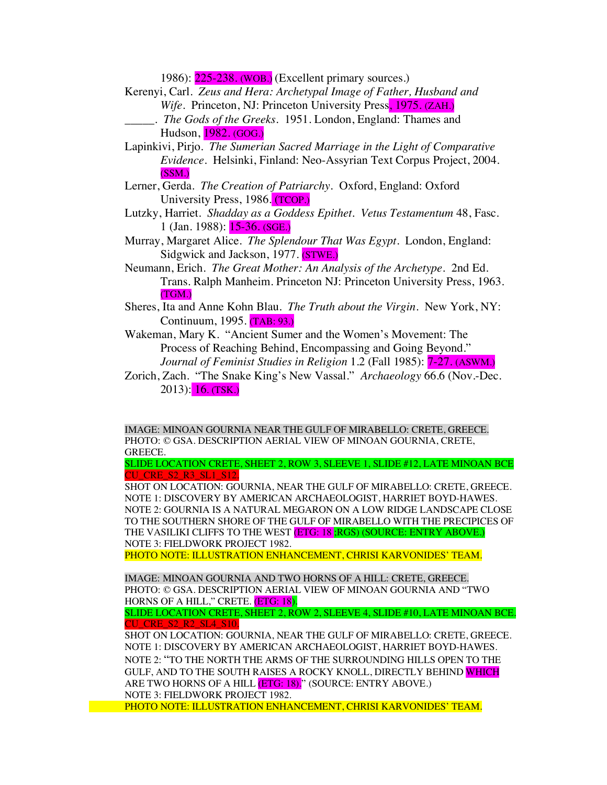1986): 225-238. (WOB.) (Excellent primary sources.)

- Kerenyi, Carl. *Zeus and Hera: Archetypal Image of Father, Husband and Wife*. Princeton, NJ: Princeton University Press, 1975. (ZAH.)
	- \_\_\_\_\_. *The Gods of the Greeks*. 1951. London, England: Thames and Hudson, 1982. (GOG.)
- Lapinkivi, Pirjo. *The Sumerian Sacred Marriage in the Light of Comparative Evidence*. Helsinki, Finland: Neo-Assyrian Text Corpus Project, 2004. (SSM.)
- Lerner, Gerda. *The Creation of Patriarchy.* Oxford, England: Oxford University Press, 1986. (TCOP.)
- Lutzky, Harriet. *Shadday as a Goddess Epithet. Vetus Testamentum* 48, Fasc. 1 (Jan. 1988): 15-36. (SGE.)
- Murray, Margaret Alice. *The Splendour That Was Egypt*. London, England: Sidgwick and Jackson, 1977. (STWE.)
- Neumann, Erich*. The Great Mother: An Analysis of the Archetype*. 2nd Ed. Trans. Ralph Manheim. Princeton NJ: Princeton University Press, 1963. (TGM.)
- Sheres, Ita and Anne Kohn Blau. *The Truth about the Virgin*. New York, NY: Continuum, 1995. (TAB: 93.)
- Wakeman, Mary K. "Ancient Sumer and the Women's Movement: The Process of Reaching Behind, Encompassing and Going Beyond." *Journal of Feminist Studies in Religion* 1.2 (Fall 1985): 7-27. (ASWM.)
- Zorich, Zach. "The Snake King's New Vassal." *Archaeology* 66.6 (Nov.-Dec. 2013): 16. (TSK.)

IMAGE: MINOAN GOURNIA NEAR THE GULF OF MIRABELLO: CRETE, GREECE. PHOTO: © GSA. DESCRIPTION AERIAL VIEW OF MINOAN GOURNIA, CRETE, GREECE.

SLIDE LOCATION CRETE, SHEET 2, ROW 3, SLEEVE 1, SLIDE #12, LATE MINOAN BCE CU\_CRE\_S2\_R3\_SL1\_S12.

SHOT ON LOCATION: GOURNIA, NEAR THE GULF OF MIRABELLO: CRETE, GREECE. NOTE 1: DISCOVERY BY AMERICAN ARCHAEOLOGIST, HARRIET BOYD-HAWES. NOTE 2: GOURNIA IS A NATURAL MEGARON ON A LOW RIDGE LANDSCAPE CLOSE TO THE SOUTHERN SHORE OF THE GULF OF MIRABELLO WITH THE PRECIPICES OF THE VASILIKI CLIFFS TO THE WEST (ETG: 18, RGS) (SOURCE: ENTRY ABOVE.) NOTE 3: FIELDWORK PROJECT 1982.

PHOTO NOTE: ILLUSTRATION ENHANCEMENT, CHRISI KARVONIDES' TEAM.

IMAGE: MINOAN GOURNIA AND TWO HORNS OF A HILL: CRETE, GREECE. PHOTO: © GSA. DESCRIPTION AERIAL VIEW OF MINOAN GOURNIA AND "TWO HORNS OF A HILL," CRETE. (ETG: 18). SLIDE LOCATION CRETE, SHEET 2, ROW 2, SLEEVE 4, SLIDE #10, LATE MINOAN BCE.

CU\_CRE\_S2\_R2\_SL4\_S10.

SHOT ON LOCATION: GOURNIA, NEAR THE GULF OF MIRABELLO: CRETE, GREECE. NOTE 1: DISCOVERY BY AMERICAN ARCHAEOLOGIST, HARRIET BOYD-HAWES. NOTE 2: "TO THE NORTH THE ARMS OF THE SURROUNDING HILLS OPEN TO THE GULF, AND TO THE SOUTH RAISES A ROCKY KNOLL, DIRECTLY BEHIND WHICH ARE TWO HORNS OF A HILL **(ETG: 18).**" (SOURCE: ENTRY ABOVE.) NOTE 3: FIELDWORK PROJECT 1982.

PHOTO NOTE: ILLUSTRATION ENHANCEMENT, CHRISI KARVONIDES' TEAM.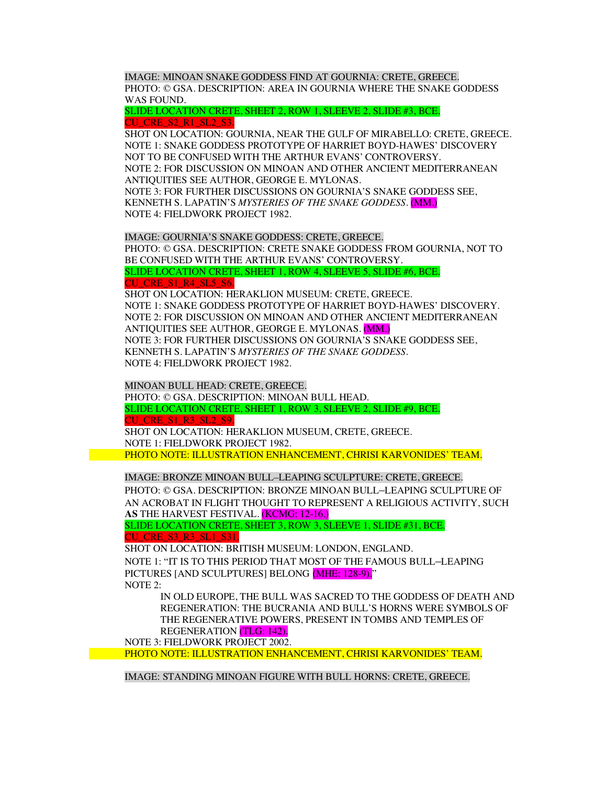IMAGE: MINOAN SNAKE GODDESS FIND AT GOURNIA: CRETE, GREECE. PHOTO: © GSA. DESCRIPTION: AREA IN GOURNIA WHERE THE SNAKE GODDESS WAS FOUND.

SLIDE LOCATION CRETE, SHEET 2, ROW 1, SLEEVE 2, SLIDE #3, BCE. CU\_CRE\_S2\_R1\_SL2\_S3.

SHOT ON LOCATION: GOURNIA, NEAR THE GULF OF MIRABELLO: CRETE, GREECE. NOTE 1: SNAKE GODDESS PROTOTYPE OF HARRIET BOYD-HAWES' DISCOVERY NOT TO BE CONFUSED WITH THE ARTHUR EVANS' CONTROVERSY. NOTE 2: FOR DISCUSSION ON MINOAN AND OTHER ANCIENT MEDITERRANEAN ANTIQUITIES SEE AUTHOR, GEORGE E. MYLONAS. NOTE 3: FOR FURTHER DISCUSSIONS ON GOURNIA'S SNAKE GODDESS SEE, KENNETH S. LAPATIN'S *MYSTERIES OF THE SNAKE GODDESS.* (MM.) NOTE 4: FIELDWORK PROJECT 1982.

IMAGE: GOURNIA'S SNAKE GODDESS: CRETE, GREECE. PHOTO: © GSA. DESCRIPTION: CRETE SNAKE GODDESS FROM GOURNIA, NOT TO BE CONFUSED WITH THE ARTHUR EVANS' CONTROVERSY. SLIDE LOCATION CRETE, SHEET 1, ROW 4, SLEEVE 5, SLIDE #6, BCE. CU\_CRE\_S1\_R4\_SL5\_S6.

SHOT ON LOCATION: HERAKLION MUSEUM: CRETE, GREECE. NOTE 1: SNAKE GODDESS PROTOTYPE OF HARRIET BOYD-HAWES' DISCOVERY. NOTE 2: FOR DISCUSSION ON MINOAN AND OTHER ANCIENT MEDITERRANEAN ANTIQUITIES SEE AUTHOR, GEORGE E. MYLONAS. (MM.) NOTE 3: FOR FURTHER DISCUSSIONS ON GOURNIA'S SNAKE GODDESS SEE, KENNETH S. LAPATIN'S *MYSTERIES OF THE SNAKE GODDESS.* NOTE 4: FIELDWORK PROJECT 1982.

MINOAN BULL HEAD: CRETE, GREECE. PHOTO: © GSA. DESCRIPTION: MINOAN BULL HEAD. SLIDE LOCATION CRETE, SHEET 1, ROW 3, SLEEVE 2, SLIDE #9, BCE. CU\_CRE\_S1\_R3\_SL2\_S9. SHOT ON LOCATION: HERAKLION MUSEUM, CRETE, GREECE. NOTE 1: FIELDWORK PROJECT 1982.

PHOTO NOTE: ILLUSTRATION ENHANCEMENT, CHRISI KARVONIDES' TEAM.

IMAGE: BRONZE MINOAN BULL–LEAPING SCULPTURE: CRETE, GREECE. PHOTO: © GSA. DESCRIPTION: BRONZE MINOAN BULL–LEAPING SCULPTURE OF AN ACROBAT IN FLIGHT THOUGHT TO REPRESENT A RELIGIOUS ACTIVITY, SUCH **AS** THE HARVEST FESTIVAL. (KCMG: 12-16.)

SLIDE LOCATION CRETE, SHEET 3, ROW 3, SLEEVE 1, SLIDE #31, BCE. **TU\_CRE\_S3\_R3\_SL1\_S31.** 

SHOT ON LOCATION: BRITISH MUSEUM: LONDON, ENGLAND. NOTE 1: "IT IS TO THIS PERIOD THAT MOST OF THE FAMOUS BULL–LEAPING PICTURES [AND SCULPTURES] BELONG (MHE: 128-9)." NOTE 2:

IN OLD EUROPE, THE BULL WAS SACRED TO THE GODDESS OF DEATH AND REGENERATION: THE BUCRANIA AND BULL'S HORNS WERE SYMBOLS OF THE REGENERATIVE POWERS, PRESENT IN TOMBS AND TEMPLES OF REGENERATION (TLG: 142).

NOTE 3: FIELDWORK PROJECT 2002.

PHOTO NOTE: ILLUSTRATION ENHANCEMENT, CHRISI KARVONIDES' TEAM.

IMAGE: STANDING MINOAN FIGURE WITH BULL HORNS: CRETE, GREECE.